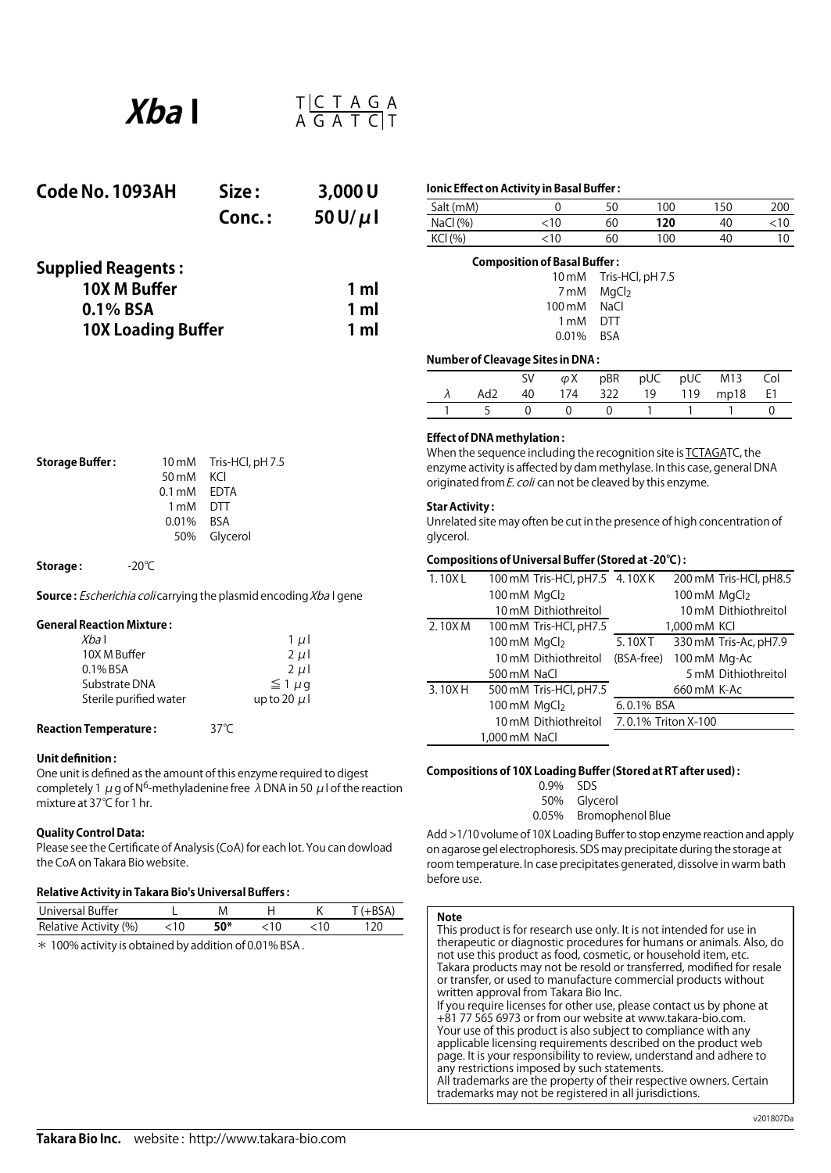

| Code No. 1093AH           | Size:     | 3,000U         |
|---------------------------|-----------|----------------|
|                           | $Conc.$ : | 50 U/ $\mu$ l  |
| <b>Supplied Reagents:</b> |           |                |
| 10X M Buffer              |           | 1 <sub>m</sub> |
| $0.1\%$ BSA               |           | 1 <sub>m</sub> |
| <b>10X Loading Buffer</b> |           | 1 <sub>m</sub> |

|  | Ionic Effect on Activity in Basal Buffer : |
|--|--------------------------------------------|
|--|--------------------------------------------|

| Salt (mM)   |    | 50 | 100 | 150 | 200 |
|-------------|----|----|-----|-----|-----|
| NaCl $(% )$ | 10 | 60 | 120 | 40  |     |
| KCI (%)     | 10 | 60 | 100 | 40  |     |

| <b>Composition of Basal Buffer:</b> |                        |
|-------------------------------------|------------------------|
|                                     | 10 mM Tris-HCl, pH 7.5 |
|                                     | 7 mM MgCl <sub>2</sub> |
| 100 mM NaCl                         |                        |
| 1 mM DTT                            |                        |
| 0.01% BSA                           |                        |
|                                     |                        |

## **Number of Cleavage Sites in DNA :**

|  |  |  | SV $\varphi X$ pBR pUC pUC M13 Col |  |
|--|--|--|------------------------------------|--|
|  |  |  | λ Ad2 40 174 322 19 119 mp18 E1    |  |
|  |  |  | 1 5 0 0 0 1 1 1 0                  |  |

### **Effect of DNA methylation :**

When the sequence including the recognition site is TCTAGATC, the enzyme activity is affected by dam methylase. In this case, general DNA originated from  $E$ . coli can not be cleaved by this enzyme.

# **Star Activity :**

Unrelated site may often be cutin the presence of high concentration of glycerol.

## **Compositions of Universal Buffer (Stored at -20℃) :**

| 1.10XL |                          | 100 mM Tris-HCl, pH7.5 4. 10X K |                     |                          | 200 mM Tris-HCl, pH8.5 |
|--------|--------------------------|---------------------------------|---------------------|--------------------------|------------------------|
|        | 100 mM MgCl <sub>2</sub> |                                 |                     | 100 mM MgCl <sub>2</sub> |                        |
|        |                          | 10 mM Dithiothreitol            |                     |                          | 10 mM Dithiothreitol   |
| 2.10XM |                          | 100 mM Tris-HCl, pH7.5          |                     | 1,000 mM KCI             |                        |
|        | 100 mM MgCl2             |                                 | 5.10XT              |                          | 330 mM Tris-Ac, pH7.9  |
|        |                          | 10 mM Dithiothreitol            | (BSA-free)          | 100 mM Mg-Ac             |                        |
|        | 500 mM NaCl              |                                 |                     |                          | 5 mM Dithiothreitol    |
| 3.10XH |                          | 500 mM Tris-HCl, pH7.5          |                     | 660 mM K-Ac              |                        |
|        | 100 mM MgCl2             |                                 | 6.0.1% BSA          |                          |                        |
|        |                          | 10 mM Dithiothreitol            | 7.0.1% Triton X-100 |                          |                        |
|        | 1,000 mM NaCl            |                                 |                     |                          |                        |
|        |                          |                                 |                     |                          |                        |

## **Compositions of 10X Loading Buffer (Stored at RT after used) :**

0.9% SDS 50% Glycerol 0.05% Bromophenol Blue

Add >1/10 volume of 10X Loading Buffer to stop enzyme reaction and apply on agarose gel electrophoresis. SDS may precipitate during the storage at room temperature. In case precipitates generated, dissolve in warm bath before use.

| <b>Note</b><br>This product is for research use only. It is not intended for use in<br>therapeutic or diagnostic procedures for humans or animals. Also, do<br>not use this product as food, cosmetic, or household item, etc.<br>Takara products may not be resold or transferred, modified for resale<br>or transfer, or used to manufacture commercial products without                                                                                                                                                                                               |
|--------------------------------------------------------------------------------------------------------------------------------------------------------------------------------------------------------------------------------------------------------------------------------------------------------------------------------------------------------------------------------------------------------------------------------------------------------------------------------------------------------------------------------------------------------------------------|
| written approval from Takara Bio Inc.<br>If you require licenses for other use, please contact us by phone at<br>+81 77 565 6973 or from our website at www.takara-bio.com.<br>Your use of this product is also subject to compliance with any<br>applicable licensing requirements described on the product web<br>page. It is your responsibility to review, understand and adhere to<br>any restrictions imposed by such statements.<br>All trademarks are the property of their respective owners. Certain<br>trademarks may not be registered in all jurisdictions. |

**Storage Buffer :** 10 mM Tris-HCl, pH 7.5<br>50 mM KCl 50 mM KCl<br>0.1 mM EDTA  $0.1 \text{ mM}$ 1 mM DTT 0.01% BSA 50% Glycerol

**Storage :**  -20℃

**Source :** Escherichia coli carrying the plasmid encoding Xba I gene

## **General Reaction Mixture :**

| $1 \mu$          |
|------------------|
| $2 \mu$          |
| $2 \mu$          |
| $\leq 1 \mu q$   |
| up to 20 $\mu$ l |
|                  |

**Reaction Temperature :** 37℃

# **Unit definition :**

One unit is defined as the amount of this enzyme required to digest completely 1  $\mu$  g of N<sup>6</sup>-methyladenine free  $\lambda$  DNA in 50  $\mu$  l of the reaction mixture at 37℃ for 1 hr.

### **Quality Control Data:**

Please see the Certificate of Analysis (CoA) for each lot. You can dowload the CoA on Takara Bio website.

# **Relative Activity in Takara Bio's Universal Buffers :**

| Universal Buffer          |     |  |      |
|---------------------------|-----|--|------|
| Relative Activity (%) <10 | 50* |  | 120. |
|                           |     |  |      |

 $*$  100% activity is obtained by addition of 0.01% BSA.